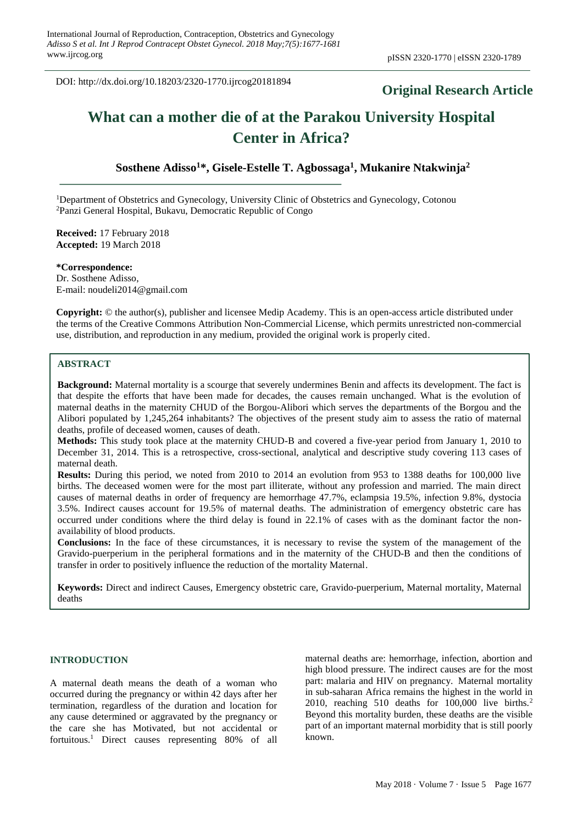DOI: http://dx.doi.org/10.18203/2320-1770.ijrcog20181894

# **Original Research Article**

# **What can a mother die of at the Parakou University Hospital Center in Africa?**

# **Sosthene Adisso<sup>1</sup>\*, Gisele-Estelle T. Agbossaga<sup>1</sup> , Mukanire Ntakwinja<sup>2</sup>**

<sup>1</sup>Department of Obstetrics and Gynecology, University Clinic of Obstetrics and Gynecology, Cotonou <sup>2</sup>Panzi General Hospital, Bukavu, Democratic Republic of Congo

**Received:** 17 February 2018 **Accepted:** 19 March 2018

**\*Correspondence:** Dr. Sosthene Adisso, E-mail: noudeli2014@gmail.com

**Copyright:** © the author(s), publisher and licensee Medip Academy. This is an open-access article distributed under the terms of the Creative Commons Attribution Non-Commercial License, which permits unrestricted non-commercial use, distribution, and reproduction in any medium, provided the original work is properly cited.

# **ABSTRACT**

**Background:** Maternal mortality is a scourge that severely undermines Benin and affects its development. The fact is that despite the efforts that have been made for decades, the causes remain unchanged. What is the evolution of maternal deaths in the maternity CHUD of the Borgou-Alibori which serves the departments of the Borgou and the Alibori populated by 1,245,264 inhabitants? The objectives of the present study aim to assess the ratio of maternal deaths, profile of deceased women, causes of death.

**Methods:** This study took place at the maternity CHUD-B and covered a five-year period from January 1, 2010 to December 31, 2014. This is a retrospective, cross-sectional, analytical and descriptive study covering 113 cases of maternal death.

**Results:** During this period, we noted from 2010 to 2014 an evolution from 953 to 1388 deaths for 100,000 live births. The deceased women were for the most part illiterate, without any profession and married. The main direct causes of maternal deaths in order of frequency are hemorrhage 47.7%, eclampsia 19.5%, infection 9.8%, dystocia 3.5%. Indirect causes account for 19.5% of maternal deaths. The administration of emergency obstetric care has occurred under conditions where the third delay is found in 22.1% of cases with as the dominant factor the nonavailability of blood products.

**Conclusions:** In the face of these circumstances, it is necessary to revise the system of the management of the Gravido-puerperium in the peripheral formations and in the maternity of the CHUD-B and then the conditions of transfer in order to positively influence the reduction of the mortality Maternal.

**Keywords:** Direct and indirect Causes, Emergency obstetric care, Gravido-puerperium, Maternal mortality, Maternal deaths

#### **INTRODUCTION**

A maternal death means the death of a woman who occurred during the pregnancy or within 42 days after her termination, regardless of the duration and location for any cause determined or aggravated by the pregnancy or the care she has Motivated, but not accidental or fortuitous.<sup>1</sup> Direct causes representing 80% of all maternal deaths are: hemorrhage, infection, abortion and high blood pressure. The indirect causes are for the most part: malaria and HIV on pregnancy. Maternal mortality in sub-saharan Africa remains the highest in the world in 2010, reaching 510 deaths for  $100,000$  live births.<sup>2</sup> Beyond this mortality burden, these deaths are the visible part of an important maternal morbidity that is still poorly known.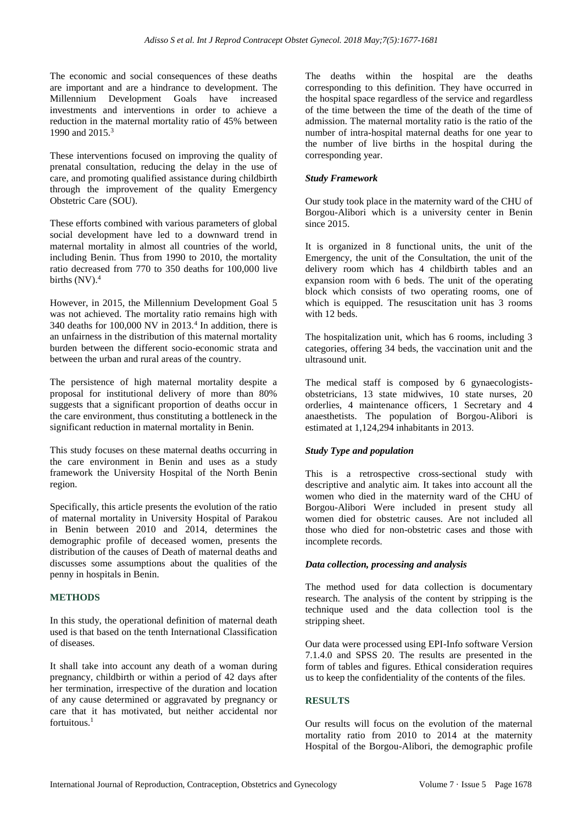The economic and social consequences of these deaths are important and are a hindrance to development. The Millennium Development Goals have increased investments and interventions in order to achieve a reduction in the maternal mortality ratio of 45% between 1990 and 2015.<sup>3</sup>

These interventions focused on improving the quality of prenatal consultation, reducing the delay in the use of care, and promoting qualified assistance during childbirth through the improvement of the quality Emergency Obstetric Care (SOU).

These efforts combined with various parameters of global social development have led to a downward trend in maternal mortality in almost all countries of the world, including Benin. Thus from 1990 to 2010, the mortality ratio decreased from 770 to 350 deaths for 100,000 live births  $(NV)$ .<sup>4</sup>

However, in 2015, the Millennium Development Goal 5 was not achieved. The mortality ratio remains high with 340 deaths for  $100,000$  NV in  $2013<sup>4</sup>$  In addition, there is an unfairness in the distribution of this maternal mortality burden between the different socio-economic strata and between the urban and rural areas of the country.

The persistence of high maternal mortality despite a proposal for institutional delivery of more than 80% suggests that a significant proportion of deaths occur in the care environment, thus constituting a bottleneck in the significant reduction in maternal mortality in Benin.

This study focuses on these maternal deaths occurring in the care environment in Benin and uses as a study framework the University Hospital of the North Benin region.

Specifically, this article presents the evolution of the ratio of maternal mortality in University Hospital of Parakou in Benin between 2010 and 2014, determines the demographic profile of deceased women, presents the distribution of the causes of Death of maternal deaths and discusses some assumptions about the qualities of the penny in hospitals in Benin.

# **METHODS**

In this study, the operational definition of maternal death used is that based on the tenth International Classification of diseases.

It shall take into account any death of a woman during pregnancy, childbirth or within a period of 42 days after her termination, irrespective of the duration and location of any cause determined or aggravated by pregnancy or care that it has motivated, but neither accidental nor fortuitous. 1

The deaths within the hospital are the deaths corresponding to this definition. They have occurred in the hospital space regardless of the service and regardless of the time between the time of the death of the time of admission. The maternal mortality ratio is the ratio of the number of intra-hospital maternal deaths for one year to the number of live births in the hospital during the corresponding year.

#### *Study Framework*

Our study took place in the maternity ward of the CHU of Borgou-Alibori which is a university center in Benin since 2015.

It is organized in 8 functional units, the unit of the Emergency, the unit of the Consultation, the unit of the delivery room which has 4 childbirth tables and an expansion room with 6 beds. The unit of the operating block which consists of two operating rooms, one of which is equipped. The resuscitation unit has 3 rooms with 12 beds.

The hospitalization unit, which has 6 rooms, including 3 categories, offering 34 beds, the vaccination unit and the ultrasound unit.

The medical staff is composed by 6 gynaecologistsobstetricians, 13 state midwives, 10 state nurses, 20 orderlies, 4 maintenance officers, 1 Secretary and 4 anaesthetists. The population of Borgou-Alibori is estimated at 1,124,294 inhabitants in 2013.

# *Study Type and population*

This is a retrospective cross-sectional study with descriptive and analytic aim. It takes into account all the women who died in the maternity ward of the CHU of Borgou-Alibori Were included in present study all women died for obstetric causes. Are not included all those who died for non-obstetric cases and those with incomplete records.

# *Data collection, processing and analysis*

The method used for data collection is documentary research. The analysis of the content by stripping is the technique used and the data collection tool is the stripping sheet.

Our data were processed using EPI-Info software Version 7.1.4.0 and SPSS 20. The results are presented in the form of tables and figures. Ethical consideration requires us to keep the confidentiality of the contents of the files.

# **RESULTS**

Our results will focus on the evolution of the maternal mortality ratio from 2010 to 2014 at the maternity Hospital of the Borgou-Alibori, the demographic profile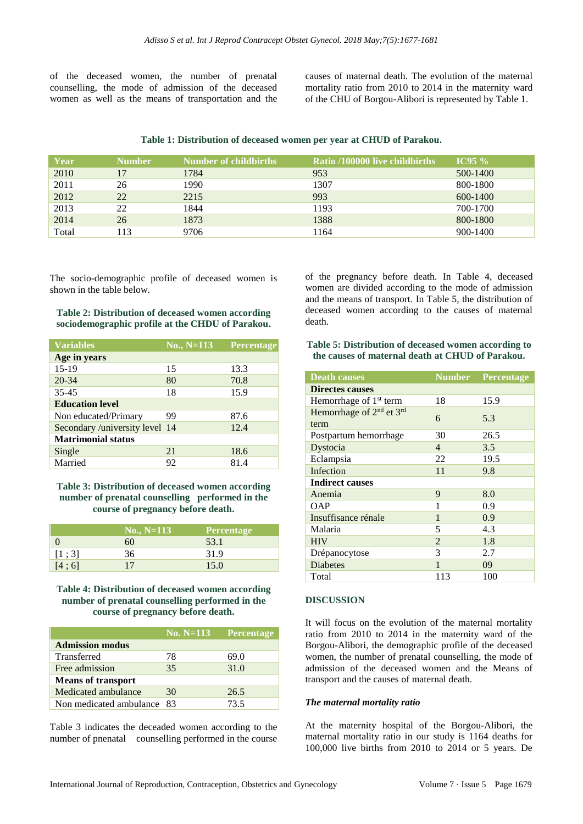of the deceased women, the number of prenatal counselling, the mode of admission of the deceased women as well as the means of transportation and the causes of maternal death. The evolution of the maternal mortality ratio from 2010 to 2014 in the maternity ward of the CHU of Borgou-Alibori is represented by Table 1.

#### **Table 1: Distribution of deceased women per year at CHUD of Parakou.**

| Year  | <b>Number</b> | Number of childbirths | <b>Ratio /100000 live childbirths</b> | $TC95\%$     |
|-------|---------------|-----------------------|---------------------------------------|--------------|
| 2010  | 17            | 1784                  | 953                                   | 500-1400     |
| 2011  | 26            | 1990                  | 1307                                  | 800-1800     |
| 2012  | 22            | 2215                  | 993                                   | $600 - 1400$ |
| 2013  | 22            | 1844                  | 1193                                  | 700-1700     |
| 2014  | 26            | 1873                  | 1388                                  | 800-1800     |
| Total | 13            | 9706                  | 1164                                  | $900 - 1400$ |

The socio-demographic profile of deceased women is shown in the table below.

**Table 2: Distribution of deceased women according sociodemographic profile at the CHDU of Parakou.**

| <b>Variables</b>               | $No., N=113$ | <b>Percentage</b> |  |  |
|--------------------------------|--------------|-------------------|--|--|
| Age in years                   |              |                   |  |  |
| $15-19$                        | 15           | 13.3              |  |  |
| $20 - 34$                      | 80           | 70.8              |  |  |
| $35 - 45$                      | 18           | 15.9              |  |  |
| <b>Education level</b>         |              |                   |  |  |
| Non educated/Primary           | 99           | 87.6              |  |  |
| Secondary /university level 14 |              | 12.4              |  |  |
| <b>Matrimonial status</b>      |              |                   |  |  |
| Single                         | 21           | 18.6              |  |  |
| Married                        | 92           | 81.4              |  |  |

**Table 3: Distribution of deceased women according number of prenatal counselling performed in the course of pregnancy before death.**

|       | $No., N=113$ | <b>Percentage</b> |
|-------|--------------|-------------------|
|       | 60           | 53.1              |
| [1;3] | 36           | 31.9              |
| [4;6] | 17           | 15.0              |

**Table 4: Distribution of deceased women according number of prenatal counselling performed in the course of pregnancy before death.**

|                            | 'No. N=113 | <b>Percentage</b> |
|----------------------------|------------|-------------------|
| <b>Admission modus</b>     |            |                   |
| Transferred                | 78         | 69.0              |
| Free admission             | 35         | 31.0              |
| <b>Means of transport</b>  |            |                   |
| Medicated ambulance        | 30         | 26.5              |
| Non medicated ambulance 83 |            | 73.5              |

Table 3 indicates the deceaded women according to the number of pnenatal counselling performed in the course of the pregnancy before death. In Table 4, deceased women are divided according to the mode of admission and the means of transport. In Table 5, the distribution of deceased women according to the causes of maternal death.

#### **Table 5: Distribution of deceased women according to the causes of maternal death at CHUD of Parakou.**

| <b>Death causes</b>                                      |                | <b>Number Percentage</b> |  |  |  |
|----------------------------------------------------------|----------------|--------------------------|--|--|--|
| <b>Directes causes</b>                                   |                |                          |  |  |  |
| Hemorrhage of 1 <sup>st</sup> term                       | 18             | 15.9                     |  |  |  |
| Hemorrhage of 2 <sup>nd</sup> et 3 <sup>rd</sup><br>term | 6              | 5.3                      |  |  |  |
| Postpartum hemorrhage                                    | 30             | 26.5                     |  |  |  |
| Dystocia                                                 | $\overline{4}$ | 3.5                      |  |  |  |
| Eclampsia                                                | 22             | 19.5                     |  |  |  |
| Infection                                                | 11             | 9.8                      |  |  |  |
| <b>Indirect causes</b>                                   |                |                          |  |  |  |
| Anemia                                                   | 9              | 8.0                      |  |  |  |
| <b>OAP</b>                                               | 1              | 0.9                      |  |  |  |
| Insuffisance rénale                                      | 1              | 0.9                      |  |  |  |
| Malaria                                                  | 5              | 4.3                      |  |  |  |
| <b>HIV</b>                                               | $\overline{2}$ | 1.8                      |  |  |  |
| Drépanocytose                                            | 3              | 2.7                      |  |  |  |
| <b>Diabetes</b>                                          | 1              | 09                       |  |  |  |
| Total                                                    | 113            | 100                      |  |  |  |

# **DISCUSSION**

It will focus on the evolution of the maternal mortality ratio from 2010 to 2014 in the maternity ward of the Borgou-Alibori, the demographic profile of the deceased women, the number of prenatal counselling, the mode of admission of the deceased women and the Means of transport and the causes of maternal death.

#### *The maternal mortality ratio*

At the maternity hospital of the Borgou-Alibori, the maternal mortality ratio in our study is 1164 deaths for 100,000 live births from 2010 to 2014 or 5 years. De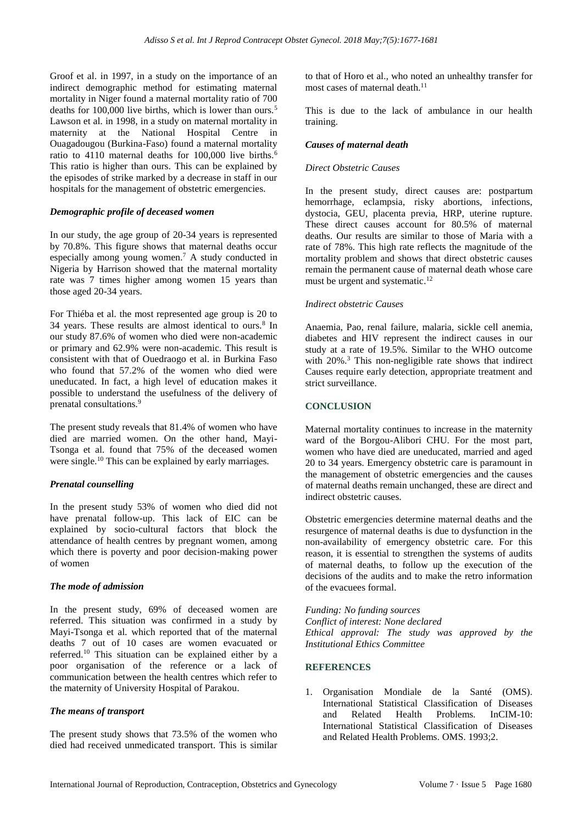Groof et al. in 1997, in a study on the importance of an indirect demographic method for estimating maternal mortality in Niger found a maternal mortality ratio of 700 deaths for 100,000 live births, which is lower than ours.<sup>5</sup> Lawson et al. in 1998, in a study on maternal mortality in maternity at the National Hospital Centre in Ouagadougou (Burkina-Faso) found a maternal mortality ratio to 4110 maternal deaths for 100,000 live births.<sup>6</sup> This ratio is higher than ours. This can be explained by the episodes of strike marked by a decrease in staff in our hospitals for the management of obstetric emergencies.

# *Demographic profile of deceased women*

In our study, the age group of 20-34 years is represented by 70.8%. This figure shows that maternal deaths occur especially among young women.<sup>7</sup> A study conducted in Nigeria by Harrison showed that the maternal mortality rate was 7 times higher among women 15 years than those aged 20-34 years.

For Thiéba et al. the most represented age group is 20 to 34 years. These results are almost identical to ours.<sup>8</sup> In our study 87.6% of women who died were non-academic or primary and 62.9% were non-academic. This result is consistent with that of Ouedraogo et al. in Burkina Faso who found that 57.2% of the women who died were uneducated. In fact, a high level of education makes it possible to understand the usefulness of the delivery of prenatal consultations.<sup>9</sup>

The present study reveals that 81.4% of women who have died are married women. On the other hand, Mayi-Tsonga et al. found that 75% of the deceased women were single.<sup>10</sup> This can be explained by early marriages.

#### *Prenatal counselling*

In the present study 53% of women who died did not have prenatal follow-up. This lack of EIC can be explained by socio-cultural factors that block the attendance of health centres by pregnant women, among which there is poverty and poor decision-making power of women

#### *The mode of admission*

In the present study, 69% of deceased women are referred. This situation was confirmed in a study by Mayi-Tsonga et al. which reported that of the maternal deaths 7 out of 10 cases are women evacuated or referred.<sup>10</sup> This situation can be explained either by a poor organisation of the reference or a lack of communication between the health centres which refer to the maternity of University Hospital of Parakou.

#### *The means of transport*

The present study shows that 73.5% of the women who died had received unmedicated transport. This is similar to that of Horo et al., who noted an unhealthy transfer for most cases of maternal death. $11$ 

This is due to the lack of ambulance in our health training.

#### *Causes of maternal death*

#### *Direct Obstetric Causes*

In the present study, direct causes are: postpartum hemorrhage, eclampsia, risky abortions, infections, dystocia, GEU, placenta previa, HRP, uterine rupture. These direct causes account for 80.5% of maternal deaths. Our results are similar to those of Maria with a rate of 78%. This high rate reflects the magnitude of the mortality problem and shows that direct obstetric causes remain the permanent cause of maternal death whose care must be urgent and systematic.<sup>12</sup>

#### *Indirect obstetric Causes*

Anaemia, Pao, renal failure, malaria, sickle cell anemia, diabetes and HIV represent the indirect causes in our study at a rate of 19.5%. Similar to the WHO outcome with 20%.<sup>3</sup> This non-negligible rate shows that indirect Causes require early detection, appropriate treatment and strict surveillance.

# **CONCLUSION**

Maternal mortality continues to increase in the maternity ward of the Borgou-Alibori CHU. For the most part, women who have died are uneducated, married and aged 20 to 34 years. Emergency obstetric care is paramount in the management of obstetric emergencies and the causes of maternal deaths remain unchanged, these are direct and indirect obstetric causes.

Obstetric emergencies determine maternal deaths and the resurgence of maternal deaths is due to dysfunction in the non-availability of emergency obstetric care. For this reason, it is essential to strengthen the systems of audits of maternal deaths, to follow up the execution of the decisions of the audits and to make the retro information of the evacuees formal.

*Funding: No funding sources Conflict of interest: None declared Ethical approval: The study was approved by the Institutional Ethics Committee*

#### **REFERENCES**

1. Organisation Mondiale de la Santé (OMS). International Statistical Classification of Diseases<br>and Related Health Problems. In CIM-10. and Related Health Problems. International Statistical Classification of Diseases and Related Health Problems. OMS. 1993;2.